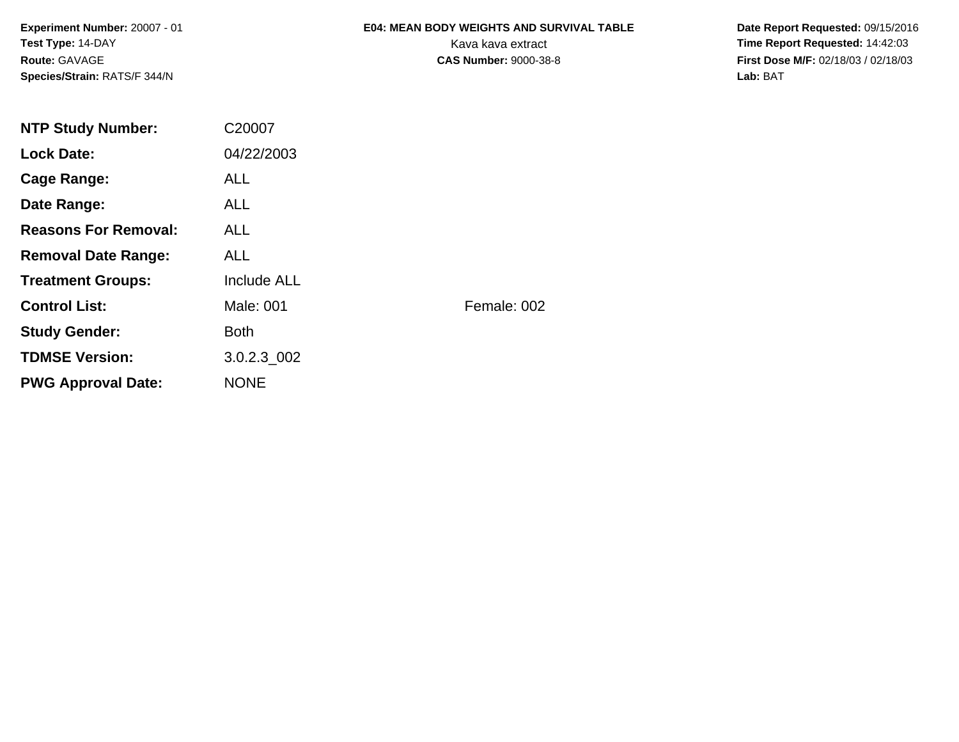**Experiment Number:** 20007 - 01**Test Type:** 14-DAY**Route:** GAVAGE**Species/Strain:** RATS/F 344/N

# **E04: MEAN BODY WEIGHTS AND SURVIVAL TABLE**

 **Date Report Requested:** 09/15/2016 Kava kava extract **Time Report Requested:** 14:42:03<br>**CAS Number:** 9000-38-8 **Time Report Requested:** 14:42:03 **First Dose M/F:** 02/18/03 / 02/18/03<br>Lab: BAT **Lab:** BAT

| <b>NTP Study Number:</b>    | C20007      |             |
|-----------------------------|-------------|-------------|
| <b>Lock Date:</b>           | 04/22/2003  |             |
| Cage Range:                 | <b>ALL</b>  |             |
| Date Range:                 | ALL.        |             |
| <b>Reasons For Removal:</b> | ALL.        |             |
| <b>Removal Date Range:</b>  | <b>ALL</b>  |             |
| <b>Treatment Groups:</b>    | Include ALL |             |
| <b>Control List:</b>        | Male: 001   | Female: 002 |
| <b>Study Gender:</b>        | <b>Both</b> |             |
| <b>TDMSE Version:</b>       | 3.0.2.3 002 |             |
| <b>PWG Approval Date:</b>   | <b>NONE</b> |             |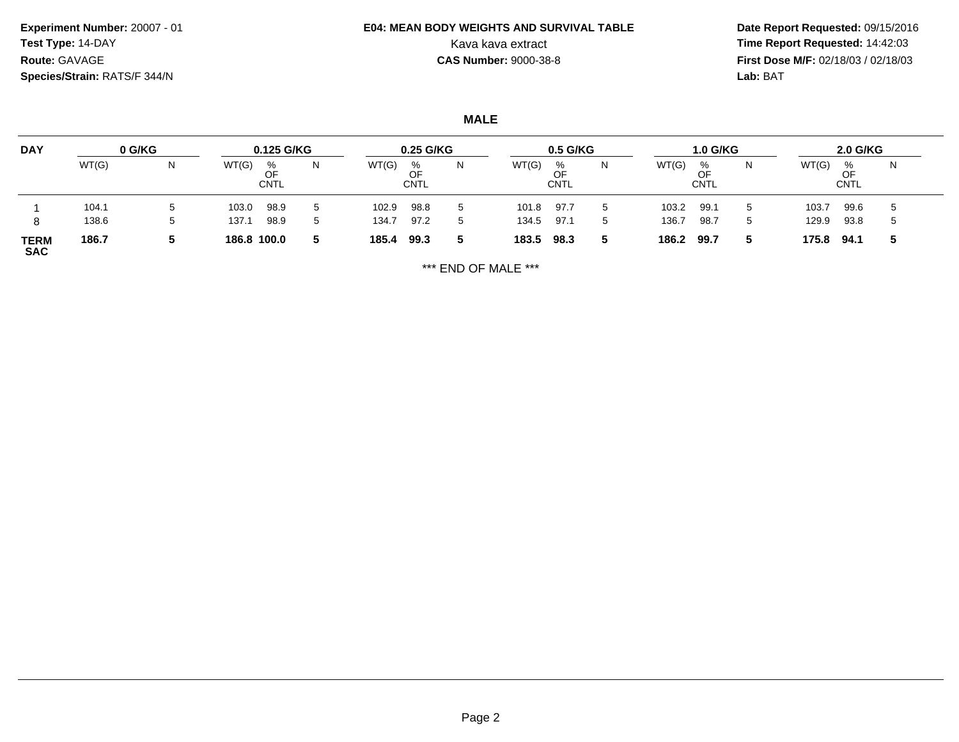**Experiment Number:** 20007 - 01**Test Type:** 14-DAY**Route:** GAVAGE**Species/Strain:** RATS/F 344/N

## **E04: MEAN BODY WEIGHTS AND SURVIVAL TABLE**

 **Date Report Requested:** 09/15/2016 Kava kava extract **Time Report Requested:** 14:42:03 **First Dose M/F:** 02/18/03 / 02/18/03<br>Lab: BAT **Lab:** BAT

**MALE**

| <b>DAY</b>                | 0 G/KG |    | 0.125 G/KG  |                        |    | 0.25 G/KG |                 |              |       | $0.5$ G/KG             |   |       | 1.0 G/KG        |    |       | <b>2.0 G/KG</b>        |     |  |
|---------------------------|--------|----|-------------|------------------------|----|-----------|-----------------|--------------|-------|------------------------|---|-------|-----------------|----|-------|------------------------|-----|--|
|                           | WT(G)  | N  | WT(G)       | %<br>OF<br><b>CNTL</b> | 14 | WT(G)     | %<br>OF<br>CNTL | N            | WT(G) | %<br>OF<br><b>CNTL</b> | N | WT(G) | %<br>OF<br>CNTL |    | WT(G) | %<br>OF<br><b>CNTL</b> | N   |  |
|                           | 104.1  | IJ | 103.0       | 98.9                   |    | 102.9     | 98.8            | $5^{\circ}$  | 101.8 | 97.7                   |   | 103.2 | 99.7            |    | 103.7 | 99.6                   |     |  |
| 8                         | 138.6  | v  | 137.1       | 98.9                   |    | 134.7     | 97.2            | $\mathbf{b}$ | 134.5 | 97.1                   | 5 | 136.7 | 98.7            | .5 | 129.9 | 93.8                   | . ს |  |
| <b>TERM</b><br><b>SAC</b> | 186.7  |    | 186.8 100.0 |                        | 5  | 185.4     | 99.3            | 5.           | 183.5 | 98.3                   |   | 186.2 | 99.7            |    | 175.8 | 94.1                   | 5   |  |

\*\*\* END OF MALE \*\*\*